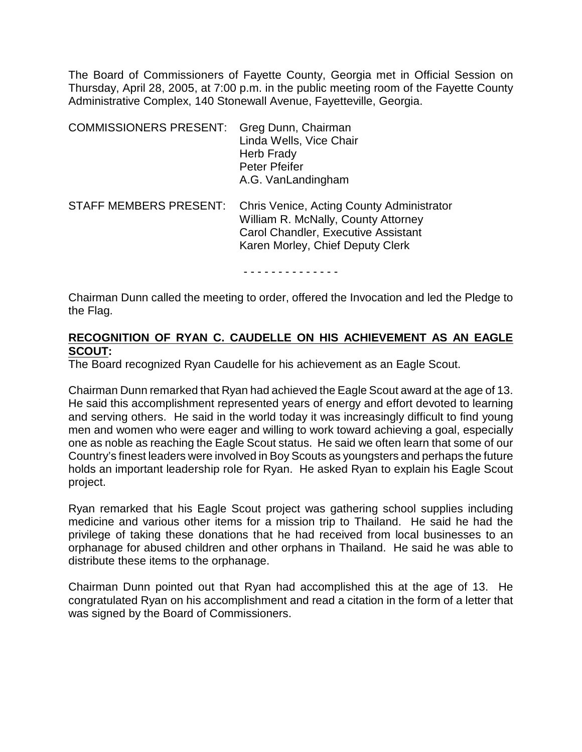The Board of Commissioners of Fayette County, Georgia met in Official Session on Thursday, April 28, 2005, at 7:00 p.m. in the public meeting room of the Fayette County Administrative Complex, 140 Stonewall Avenue, Fayetteville, Georgia.

| <b>COMMISSIONERS PRESENT:</b> | Greg Dunn, Chairman<br>Linda Wells, Vice Chair<br>Herb Frady<br>Peter Pfeifer<br>A.G. VanLandingham                                                         |
|-------------------------------|-------------------------------------------------------------------------------------------------------------------------------------------------------------|
| <b>STAFF MEMBERS PRESENT:</b> | Chris Venice, Acting County Administrator<br>William R. McNally, County Attorney<br>Carol Chandler, Executive Assistant<br>Karen Morley, Chief Deputy Clerk |

- - - - - - - - - - - - - -

Chairman Dunn called the meeting to order, offered the Invocation and led the Pledge to the Flag.

## **RECOGNITION OF RYAN C. CAUDELLE ON HIS ACHIEVEMENT AS AN EAGLE SCOUT:**

The Board recognized Ryan Caudelle for his achievement as an Eagle Scout.

Chairman Dunn remarked that Ryan had achieved the Eagle Scout award at the age of 13. He said this accomplishment represented years of energy and effort devoted to learning and serving others. He said in the world today it was increasingly difficult to find young men and women who were eager and willing to work toward achieving a goal, especially one as noble as reaching the Eagle Scout status. He said we often learn that some of our Country's finest leaders were involved in Boy Scouts as youngsters and perhaps the future holds an important leadership role for Ryan. He asked Ryan to explain his Eagle Scout project.

Ryan remarked that his Eagle Scout project was gathering school supplies including medicine and various other items for a mission trip to Thailand. He said he had the privilege of taking these donations that he had received from local businesses to an orphanage for abused children and other orphans in Thailand. He said he was able to distribute these items to the orphanage.

Chairman Dunn pointed out that Ryan had accomplished this at the age of 13. He congratulated Ryan on his accomplishment and read a citation in the form of a letter that was signed by the Board of Commissioners.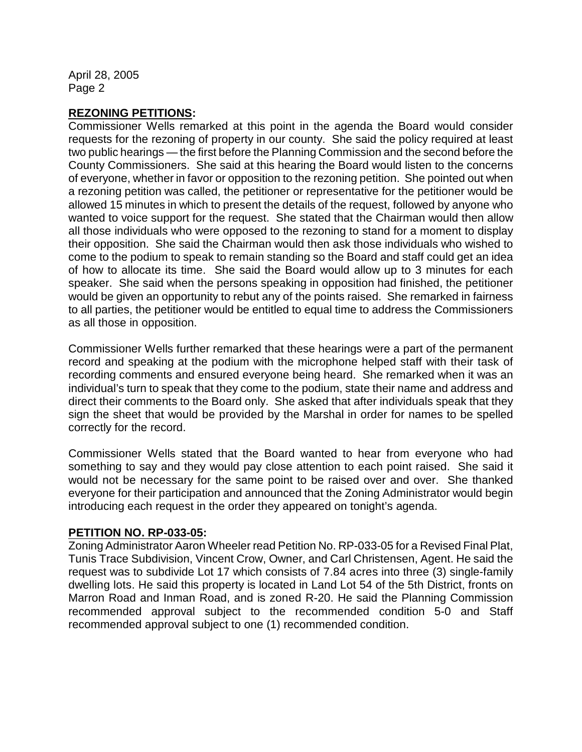#### **REZONING PETITIONS:**

Commissioner Wells remarked at this point in the agenda the Board would consider requests for the rezoning of property in our county. She said the policy required at least two public hearings — the first before the Planning Commission and the second before the County Commissioners. She said at this hearing the Board would listen to the concerns of everyone, whether in favor or opposition to the rezoning petition. She pointed out when a rezoning petition was called, the petitioner or representative for the petitioner would be allowed 15 minutes in which to present the details of the request, followed by anyone who wanted to voice support for the request. She stated that the Chairman would then allow all those individuals who were opposed to the rezoning to stand for a moment to display their opposition. She said the Chairman would then ask those individuals who wished to come to the podium to speak to remain standing so the Board and staff could get an idea of how to allocate its time. She said the Board would allow up to 3 minutes for each speaker. She said when the persons speaking in opposition had finished, the petitioner would be given an opportunity to rebut any of the points raised. She remarked in fairness to all parties, the petitioner would be entitled to equal time to address the Commissioners as all those in opposition.

Commissioner Wells further remarked that these hearings were a part of the permanent record and speaking at the podium with the microphone helped staff with their task of recording comments and ensured everyone being heard. She remarked when it was an individual's turn to speak that they come to the podium, state their name and address and direct their comments to the Board only. She asked that after individuals speak that they sign the sheet that would be provided by the Marshal in order for names to be spelled correctly for the record.

Commissioner Wells stated that the Board wanted to hear from everyone who had something to say and they would pay close attention to each point raised. She said it would not be necessary for the same point to be raised over and over. She thanked everyone for their participation and announced that the Zoning Administrator would begin introducing each request in the order they appeared on tonight's agenda.

## **PETITION NO. RP-033-05:**

Zoning Administrator Aaron Wheeler read Petition No. RP-033-05 for a Revised Final Plat, Tunis Trace Subdivision, Vincent Crow, Owner, and Carl Christensen, Agent. He said the request was to subdivide Lot 17 which consists of 7.84 acres into three (3) single-family dwelling lots. He said this property is located in Land Lot 54 of the 5th District, fronts on Marron Road and Inman Road, and is zoned R-20. He said the Planning Commission recommended approval subject to the recommended condition 5-0 and Staff recommended approval subject to one (1) recommended condition.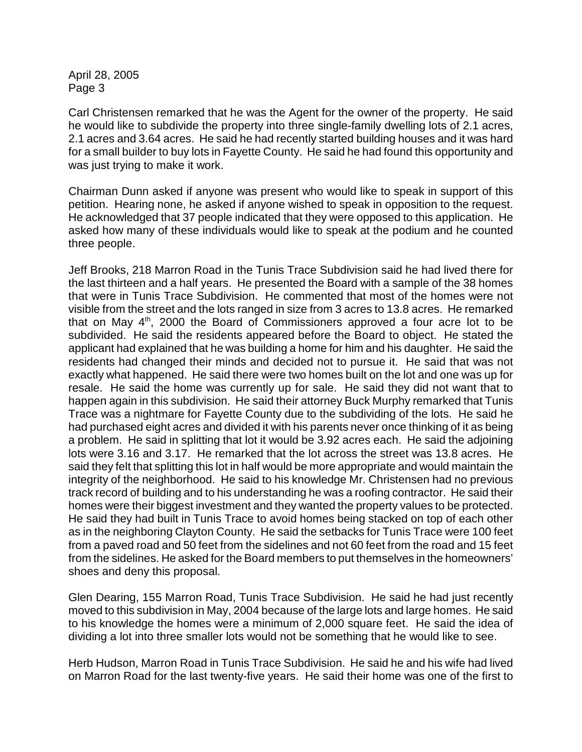Carl Christensen remarked that he was the Agent for the owner of the property. He said he would like to subdivide the property into three single-family dwelling lots of 2.1 acres, 2.1 acres and 3.64 acres. He said he had recently started building houses and it was hard for a small builder to buy lots in Fayette County. He said he had found this opportunity and was just trying to make it work.

Chairman Dunn asked if anyone was present who would like to speak in support of this petition. Hearing none, he asked if anyone wished to speak in opposition to the request. He acknowledged that 37 people indicated that they were opposed to this application. He asked how many of these individuals would like to speak at the podium and he counted three people.

Jeff Brooks, 218 Marron Road in the Tunis Trace Subdivision said he had lived there for the last thirteen and a half years. He presented the Board with a sample of the 38 homes that were in Tunis Trace Subdivision. He commented that most of the homes were not visible from the street and the lots ranged in size from 3 acres to 13.8 acres. He remarked that on May  $4<sup>th</sup>$ , 2000 the Board of Commissioners approved a four acre lot to be subdivided. He said the residents appeared before the Board to object. He stated the applicant had explained that he was building a home for him and his daughter. He said the residents had changed their minds and decided not to pursue it. He said that was not exactly what happened. He said there were two homes built on the lot and one was up for resale. He said the home was currently up for sale. He said they did not want that to happen again in this subdivision. He said their attorney Buck Murphy remarked that Tunis Trace was a nightmare for Fayette County due to the subdividing of the lots. He said he had purchased eight acres and divided it with his parents never once thinking of it as being a problem. He said in splitting that lot it would be 3.92 acres each. He said the adjoining lots were 3.16 and 3.17. He remarked that the lot across the street was 13.8 acres. He said they felt that splitting this lot in half would be more appropriate and would maintain the integrity of the neighborhood. He said to his knowledge Mr. Christensen had no previous track record of building and to his understanding he was a roofing contractor. He said their homes were their biggest investment and they wanted the property values to be protected. He said they had built in Tunis Trace to avoid homes being stacked on top of each other as in the neighboring Clayton County. He said the setbacks for Tunis Trace were 100 feet from a paved road and 50 feet from the sidelines and not 60 feet from the road and 15 feet from the sidelines. He asked for the Board members to put themselves in the homeowners' shoes and deny this proposal.

Glen Dearing, 155 Marron Road, Tunis Trace Subdivision. He said he had just recently moved to this subdivision in May, 2004 because of the large lots and large homes. He said to his knowledge the homes were a minimum of 2,000 square feet. He said the idea of dividing a lot into three smaller lots would not be something that he would like to see.

Herb Hudson, Marron Road in Tunis Trace Subdivision. He said he and his wife had lived on Marron Road for the last twenty-five years. He said their home was one of the first to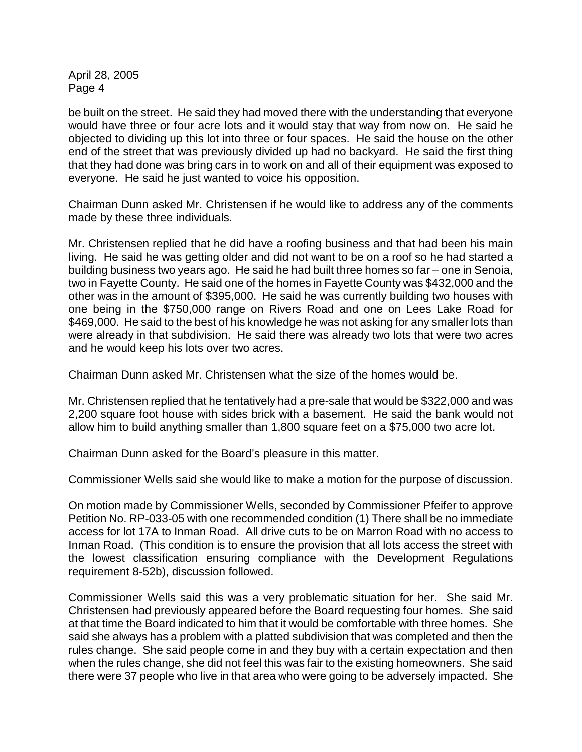be built on the street. He said they had moved there with the understanding that everyone would have three or four acre lots and it would stay that way from now on. He said he objected to dividing up this lot into three or four spaces. He said the house on the other end of the street that was previously divided up had no backyard. He said the first thing that they had done was bring cars in to work on and all of their equipment was exposed to everyone. He said he just wanted to voice his opposition.

Chairman Dunn asked Mr. Christensen if he would like to address any of the comments made by these three individuals.

Mr. Christensen replied that he did have a roofing business and that had been his main living. He said he was getting older and did not want to be on a roof so he had started a building business two years ago. He said he had built three homes so far – one in Senoia, two in Fayette County. He said one of the homes in Fayette County was \$432,000 and the other was in the amount of \$395,000. He said he was currently building two houses with one being in the \$750,000 range on Rivers Road and one on Lees Lake Road for \$469,000. He said to the best of his knowledge he was not asking for any smaller lots than were already in that subdivision. He said there was already two lots that were two acres and he would keep his lots over two acres.

Chairman Dunn asked Mr. Christensen what the size of the homes would be.

Mr. Christensen replied that he tentatively had a pre-sale that would be \$322,000 and was 2,200 square foot house with sides brick with a basement. He said the bank would not allow him to build anything smaller than 1,800 square feet on a \$75,000 two acre lot.

Chairman Dunn asked for the Board's pleasure in this matter.

Commissioner Wells said she would like to make a motion for the purpose of discussion.

On motion made by Commissioner Wells, seconded by Commissioner Pfeifer to approve Petition No. RP-033-05 with one recommended condition (1) There shall be no immediate access for lot 17A to Inman Road. All drive cuts to be on Marron Road with no access to Inman Road. (This condition is to ensure the provision that all lots access the street with the lowest classification ensuring compliance with the Development Regulations requirement 8-52b), discussion followed.

Commissioner Wells said this was a very problematic situation for her. She said Mr. Christensen had previously appeared before the Board requesting four homes. She said at that time the Board indicated to him that it would be comfortable with three homes. She said she always has a problem with a platted subdivision that was completed and then the rules change. She said people come in and they buy with a certain expectation and then when the rules change, she did not feel this was fair to the existing homeowners. She said there were 37 people who live in that area who were going to be adversely impacted. She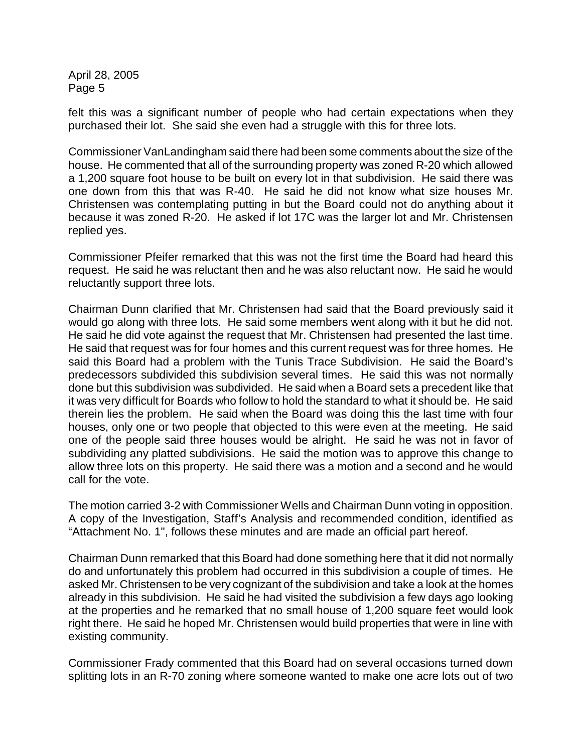felt this was a significant number of people who had certain expectations when they purchased their lot. She said she even had a struggle with this for three lots.

Commissioner VanLandingham said there had been some comments about the size of the house. He commented that all of the surrounding property was zoned R-20 which allowed a 1,200 square foot house to be built on every lot in that subdivision. He said there was one down from this that was R-40. He said he did not know what size houses Mr. Christensen was contemplating putting in but the Board could not do anything about it because it was zoned R-20. He asked if lot 17C was the larger lot and Mr. Christensen replied yes.

Commissioner Pfeifer remarked that this was not the first time the Board had heard this request. He said he was reluctant then and he was also reluctant now. He said he would reluctantly support three lots.

Chairman Dunn clarified that Mr. Christensen had said that the Board previously said it would go along with three lots. He said some members went along with it but he did not. He said he did vote against the request that Mr. Christensen had presented the last time. He said that request was for four homes and this current request was for three homes. He said this Board had a problem with the Tunis Trace Subdivision. He said the Board's predecessors subdivided this subdivision several times. He said this was not normally done but this subdivision was subdivided. He said when a Board sets a precedent like that it was very difficult for Boards who follow to hold the standard to what it should be. He said therein lies the problem. He said when the Board was doing this the last time with four houses, only one or two people that objected to this were even at the meeting. He said one of the people said three houses would be alright. He said he was not in favor of subdividing any platted subdivisions. He said the motion was to approve this change to allow three lots on this property. He said there was a motion and a second and he would call for the vote.

The motion carried 3-2 with Commissioner Wells and Chairman Dunn voting in opposition. A copy of the Investigation, Staff's Analysis and recommended condition, identified as "Attachment No. 1", follows these minutes and are made an official part hereof.

Chairman Dunn remarked that this Board had done something here that it did not normally do and unfortunately this problem had occurred in this subdivision a couple of times. He asked Mr. Christensen to be very cognizant of the subdivision and take a look at the homes already in this subdivision. He said he had visited the subdivision a few days ago looking at the properties and he remarked that no small house of 1,200 square feet would look right there. He said he hoped Mr. Christensen would build properties that were in line with existing community.

Commissioner Frady commented that this Board had on several occasions turned down splitting lots in an R-70 zoning where someone wanted to make one acre lots out of two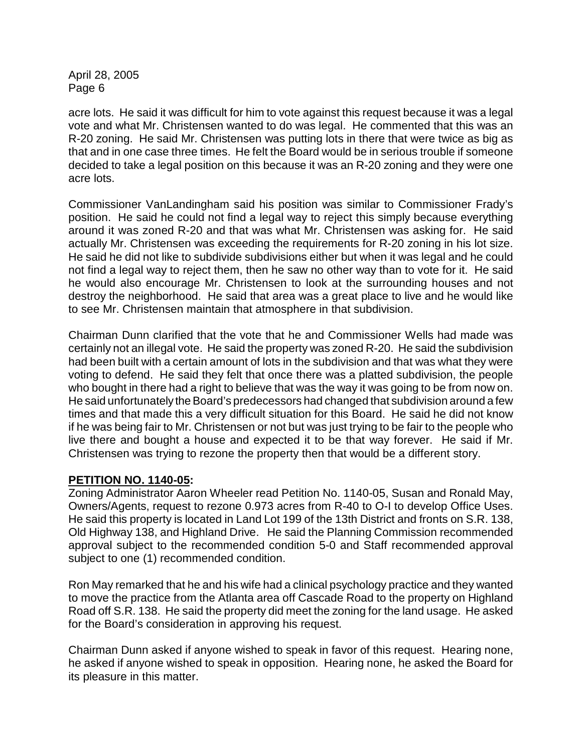acre lots. He said it was difficult for him to vote against this request because it was a legal vote and what Mr. Christensen wanted to do was legal. He commented that this was an R-20 zoning. He said Mr. Christensen was putting lots in there that were twice as big as that and in one case three times. He felt the Board would be in serious trouble if someone decided to take a legal position on this because it was an R-20 zoning and they were one acre lots.

Commissioner VanLandingham said his position was similar to Commissioner Frady's position. He said he could not find a legal way to reject this simply because everything around it was zoned R-20 and that was what Mr. Christensen was asking for. He said actually Mr. Christensen was exceeding the requirements for R-20 zoning in his lot size. He said he did not like to subdivide subdivisions either but when it was legal and he could not find a legal way to reject them, then he saw no other way than to vote for it. He said he would also encourage Mr. Christensen to look at the surrounding houses and not destroy the neighborhood. He said that area was a great place to live and he would like to see Mr. Christensen maintain that atmosphere in that subdivision.

Chairman Dunn clarified that the vote that he and Commissioner Wells had made was certainly not an illegal vote. He said the property was zoned R-20. He said the subdivision had been built with a certain amount of lots in the subdivision and that was what they were voting to defend. He said they felt that once there was a platted subdivision, the people who bought in there had a right to believe that was the way it was going to be from now on. He said unfortunately the Board's predecessors had changed that subdivision around a few times and that made this a very difficult situation for this Board. He said he did not know if he was being fair to Mr. Christensen or not but was just trying to be fair to the people who live there and bought a house and expected it to be that way forever. He said if Mr. Christensen was trying to rezone the property then that would be a different story.

## **PETITION NO. 1140-05:**

Zoning Administrator Aaron Wheeler read Petition No. 1140-05, Susan and Ronald May, Owners/Agents, request to rezone 0.973 acres from R-40 to O-I to develop Office Uses. He said this property is located in Land Lot 199 of the 13th District and fronts on S.R. 138, Old Highway 138, and Highland Drive. He said the Planning Commission recommended approval subject to the recommended condition 5-0 and Staff recommended approval subject to one (1) recommended condition.

Ron May remarked that he and his wife had a clinical psychology practice and they wanted to move the practice from the Atlanta area off Cascade Road to the property on Highland Road off S.R. 138. He said the property did meet the zoning for the land usage. He asked for the Board's consideration in approving his request.

Chairman Dunn asked if anyone wished to speak in favor of this request. Hearing none, he asked if anyone wished to speak in opposition. Hearing none, he asked the Board for its pleasure in this matter.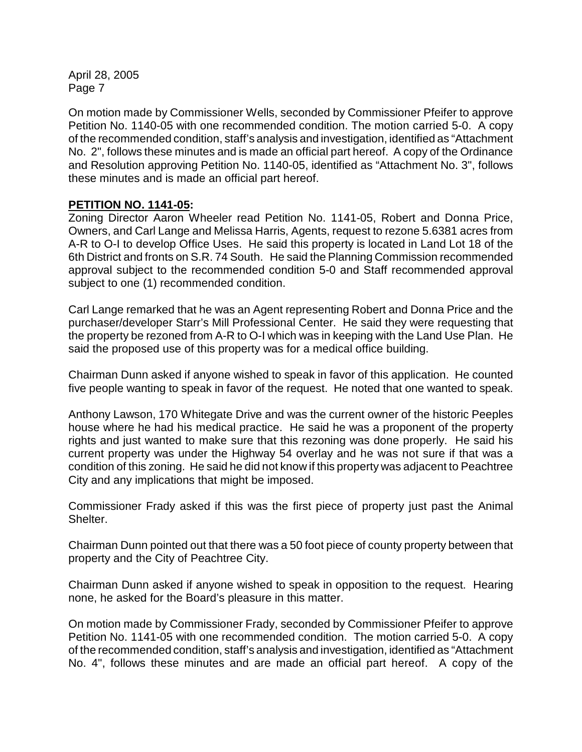On motion made by Commissioner Wells, seconded by Commissioner Pfeifer to approve Petition No. 1140-05 with one recommended condition. The motion carried 5-0. A copy of the recommended condition, staff's analysis and investigation, identified as "Attachment No. 2", follows these minutes and is made an official part hereof. A copy of the Ordinance and Resolution approving Petition No. 1140-05, identified as "Attachment No. 3", follows these minutes and is made an official part hereof.

### **PETITION NO. 1141-05:**

Zoning Director Aaron Wheeler read Petition No. 1141-05, Robert and Donna Price, Owners, and Carl Lange and Melissa Harris, Agents, request to rezone 5.6381 acres from A-R to O-I to develop Office Uses. He said this property is located in Land Lot 18 of the 6th District and fronts on S.R. 74 South. He said the Planning Commission recommended approval subject to the recommended condition 5-0 and Staff recommended approval subject to one (1) recommended condition.

Carl Lange remarked that he was an Agent representing Robert and Donna Price and the purchaser/developer Starr's Mill Professional Center. He said they were requesting that the property be rezoned from A-R to O-I which was in keeping with the Land Use Plan. He said the proposed use of this property was for a medical office building.

Chairman Dunn asked if anyone wished to speak in favor of this application. He counted five people wanting to speak in favor of the request. He noted that one wanted to speak.

Anthony Lawson, 170 Whitegate Drive and was the current owner of the historic Peeples house where he had his medical practice. He said he was a proponent of the property rights and just wanted to make sure that this rezoning was done properly. He said his current property was under the Highway 54 overlay and he was not sure if that was a condition of this zoning. He said he did not know if this property was adjacent to Peachtree City and any implications that might be imposed.

Commissioner Frady asked if this was the first piece of property just past the Animal Shelter.

Chairman Dunn pointed out that there was a 50 foot piece of county property between that property and the City of Peachtree City.

Chairman Dunn asked if anyone wished to speak in opposition to the request. Hearing none, he asked for the Board's pleasure in this matter.

On motion made by Commissioner Frady, seconded by Commissioner Pfeifer to approve Petition No. 1141-05 with one recommended condition. The motion carried 5-0. A copy of the recommended condition, staff's analysis and investigation, identified as "Attachment No. 4", follows these minutes and are made an official part hereof. A copy of the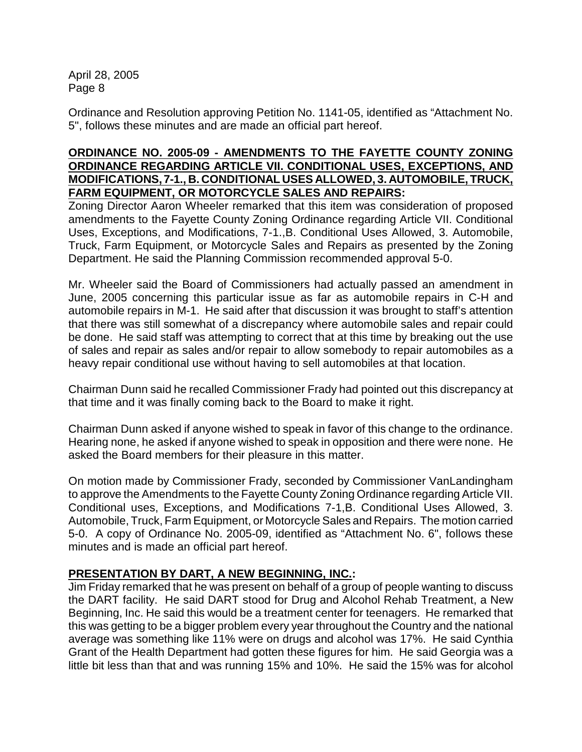Ordinance and Resolution approving Petition No. 1141-05, identified as "Attachment No. 5", follows these minutes and are made an official part hereof.

## **ORDINANCE NO. 2005-09 - AMENDMENTS TO THE FAYETTE COUNTY ZONING ORDINANCE REGARDING ARTICLE VII. CONDITIONAL USES, EXCEPTIONS, AND MODIFICATIONS, 7-1., B. CONDITIONAL USES ALLOWED, 3. AUTOMOBILE, TRUCK, FARM EQUIPMENT, OR MOTORCYCLE SALES AND REPAIRS:**

Zoning Director Aaron Wheeler remarked that this item was consideration of proposed amendments to the Fayette County Zoning Ordinance regarding Article VII. Conditional Uses, Exceptions, and Modifications, 7-1.,B. Conditional Uses Allowed, 3. Automobile, Truck, Farm Equipment, or Motorcycle Sales and Repairs as presented by the Zoning Department. He said the Planning Commission recommended approval 5-0.

Mr. Wheeler said the Board of Commissioners had actually passed an amendment in June, 2005 concerning this particular issue as far as automobile repairs in C-H and automobile repairs in M-1. He said after that discussion it was brought to staff's attention that there was still somewhat of a discrepancy where automobile sales and repair could be done. He said staff was attempting to correct that at this time by breaking out the use of sales and repair as sales and/or repair to allow somebody to repair automobiles as a heavy repair conditional use without having to sell automobiles at that location.

Chairman Dunn said he recalled Commissioner Frady had pointed out this discrepancy at that time and it was finally coming back to the Board to make it right.

Chairman Dunn asked if anyone wished to speak in favor of this change to the ordinance. Hearing none, he asked if anyone wished to speak in opposition and there were none. He asked the Board members for their pleasure in this matter.

On motion made by Commissioner Frady, seconded by Commissioner VanLandingham to approve the Amendments to the Fayette County Zoning Ordinance regarding Article VII. Conditional uses, Exceptions, and Modifications 7-1,B. Conditional Uses Allowed, 3. Automobile, Truck, Farm Equipment, or Motorcycle Sales and Repairs. The motion carried 5-0. A copy of Ordinance No. 2005-09, identified as "Attachment No. 6", follows these minutes and is made an official part hereof.

# **PRESENTATION BY DART, A NEW BEGINNING, INC.:**

Jim Friday remarked that he was present on behalf of a group of people wanting to discuss the DART facility. He said DART stood for Drug and Alcohol Rehab Treatment, a New Beginning, Inc. He said this would be a treatment center for teenagers. He remarked that this was getting to be a bigger problem every year throughout the Country and the national average was something like 11% were on drugs and alcohol was 17%. He said Cynthia Grant of the Health Department had gotten these figures for him. He said Georgia was a little bit less than that and was running 15% and 10%. He said the 15% was for alcohol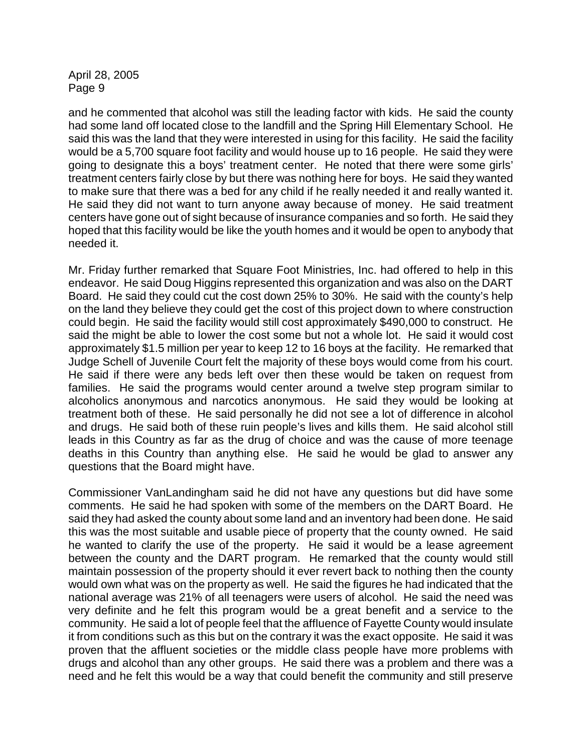and he commented that alcohol was still the leading factor with kids. He said the county had some land off located close to the landfill and the Spring Hill Elementary School. He said this was the land that they were interested in using for this facility. He said the facility would be a 5,700 square foot facility and would house up to 16 people. He said they were going to designate this a boys' treatment center. He noted that there were some girls' treatment centers fairly close by but there was nothing here for boys. He said they wanted to make sure that there was a bed for any child if he really needed it and really wanted it. He said they did not want to turn anyone away because of money. He said treatment centers have gone out of sight because of insurance companies and so forth. He said they hoped that this facility would be like the youth homes and it would be open to anybody that needed it.

Mr. Friday further remarked that Square Foot Ministries, Inc. had offered to help in this endeavor. He said Doug Higgins represented this organization and was also on the DART Board. He said they could cut the cost down 25% to 30%. He said with the county's help on the land they believe they could get the cost of this project down to where construction could begin. He said the facility would still cost approximately \$490,000 to construct. He said the might be able to lower the cost some but not a whole lot. He said it would cost approximately \$1.5 million per year to keep 12 to 16 boys at the facility. He remarked that Judge Schell of Juvenile Court felt the majority of these boys would come from his court. He said if there were any beds left over then these would be taken on request from families. He said the programs would center around a twelve step program similar to alcoholics anonymous and narcotics anonymous. He said they would be looking at treatment both of these. He said personally he did not see a lot of difference in alcohol and drugs. He said both of these ruin people's lives and kills them. He said alcohol still leads in this Country as far as the drug of choice and was the cause of more teenage deaths in this Country than anything else. He said he would be glad to answer any questions that the Board might have.

Commissioner VanLandingham said he did not have any questions but did have some comments. He said he had spoken with some of the members on the DART Board. He said they had asked the county about some land and an inventory had been done. He said this was the most suitable and usable piece of property that the county owned. He said he wanted to clarify the use of the property. He said it would be a lease agreement between the county and the DART program. He remarked that the county would still maintain possession of the property should it ever revert back to nothing then the county would own what was on the property as well. He said the figures he had indicated that the national average was 21% of all teenagers were users of alcohol. He said the need was very definite and he felt this program would be a great benefit and a service to the community. He said a lot of people feel that the affluence of Fayette County would insulate it from conditions such as this but on the contrary it was the exact opposite. He said it was proven that the affluent societies or the middle class people have more problems with drugs and alcohol than any other groups. He said there was a problem and there was a need and he felt this would be a way that could benefit the community and still preserve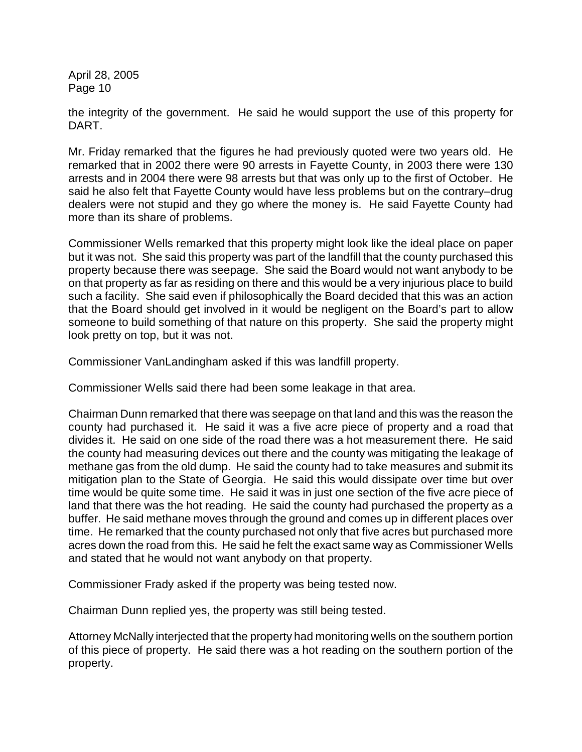the integrity of the government. He said he would support the use of this property for DART.

Mr. Friday remarked that the figures he had previously quoted were two years old. He remarked that in 2002 there were 90 arrests in Fayette County, in 2003 there were 130 arrests and in 2004 there were 98 arrests but that was only up to the first of October. He said he also felt that Fayette County would have less problems but on the contrary–drug dealers were not stupid and they go where the money is. He said Fayette County had more than its share of problems.

Commissioner Wells remarked that this property might look like the ideal place on paper but it was not. She said this property was part of the landfill that the county purchased this property because there was seepage. She said the Board would not want anybody to be on that property as far as residing on there and this would be a very injurious place to build such a facility. She said even if philosophically the Board decided that this was an action that the Board should get involved in it would be negligent on the Board's part to allow someone to build something of that nature on this property. She said the property might look pretty on top, but it was not.

Commissioner VanLandingham asked if this was landfill property.

Commissioner Wells said there had been some leakage in that area.

Chairman Dunn remarked that there was seepage on that land and this was the reason the county had purchased it. He said it was a five acre piece of property and a road that divides it. He said on one side of the road there was a hot measurement there. He said the county had measuring devices out there and the county was mitigating the leakage of methane gas from the old dump. He said the county had to take measures and submit its mitigation plan to the State of Georgia. He said this would dissipate over time but over time would be quite some time. He said it was in just one section of the five acre piece of land that there was the hot reading. He said the county had purchased the property as a buffer. He said methane moves through the ground and comes up in different places over time. He remarked that the county purchased not only that five acres but purchased more acres down the road from this. He said he felt the exact same way as Commissioner Wells and stated that he would not want anybody on that property.

Commissioner Frady asked if the property was being tested now.

Chairman Dunn replied yes, the property was still being tested.

Attorney McNally interjected that the property had monitoring wells on the southern portion of this piece of property. He said there was a hot reading on the southern portion of the property.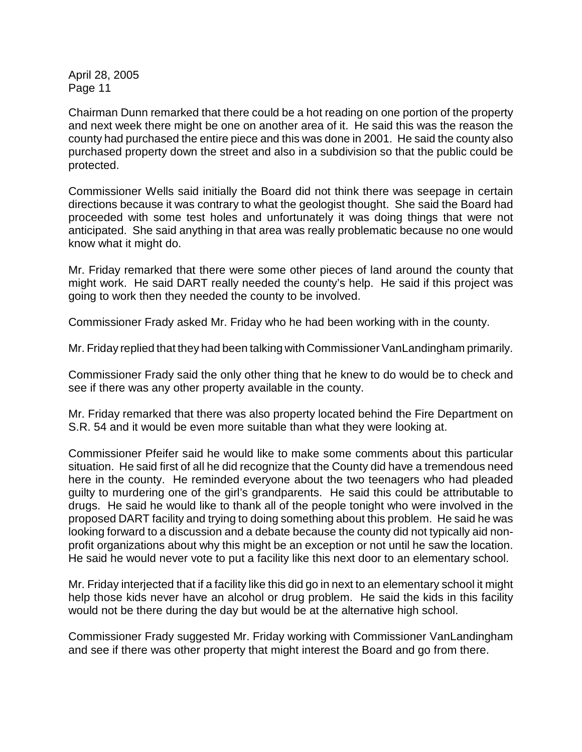Chairman Dunn remarked that there could be a hot reading on one portion of the property and next week there might be one on another area of it. He said this was the reason the county had purchased the entire piece and this was done in 2001. He said the county also purchased property down the street and also in a subdivision so that the public could be protected.

Commissioner Wells said initially the Board did not think there was seepage in certain directions because it was contrary to what the geologist thought. She said the Board had proceeded with some test holes and unfortunately it was doing things that were not anticipated. She said anything in that area was really problematic because no one would know what it might do.

Mr. Friday remarked that there were some other pieces of land around the county that might work. He said DART really needed the county's help. He said if this project was going to work then they needed the county to be involved.

Commissioner Frady asked Mr. Friday who he had been working with in the county.

Mr. Friday replied that they had been talking with Commissioner VanLandingham primarily.

Commissioner Frady said the only other thing that he knew to do would be to check and see if there was any other property available in the county.

Mr. Friday remarked that there was also property located behind the Fire Department on S.R. 54 and it would be even more suitable than what they were looking at.

Commissioner Pfeifer said he would like to make some comments about this particular situation. He said first of all he did recognize that the County did have a tremendous need here in the county. He reminded everyone about the two teenagers who had pleaded guilty to murdering one of the girl's grandparents. He said this could be attributable to drugs. He said he would like to thank all of the people tonight who were involved in the proposed DART facility and trying to doing something about this problem. He said he was looking forward to a discussion and a debate because the county did not typically aid nonprofit organizations about why this might be an exception or not until he saw the location. He said he would never vote to put a facility like this next door to an elementary school.

Mr. Friday interjected that if a facility like this did go in next to an elementary school it might help those kids never have an alcohol or drug problem. He said the kids in this facility would not be there during the day but would be at the alternative high school.

Commissioner Frady suggested Mr. Friday working with Commissioner VanLandingham and see if there was other property that might interest the Board and go from there.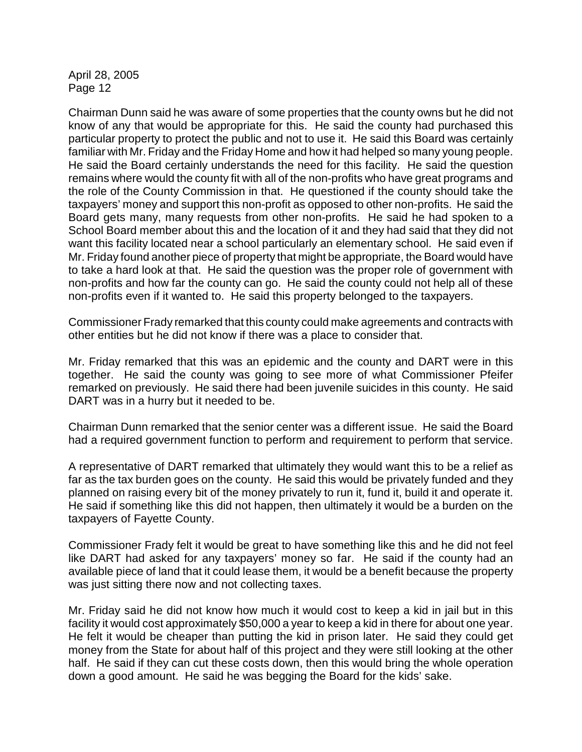Chairman Dunn said he was aware of some properties that the county owns but he did not know of any that would be appropriate for this. He said the county had purchased this particular property to protect the public and not to use it. He said this Board was certainly familiar with Mr. Friday and the Friday Home and how it had helped so many young people. He said the Board certainly understands the need for this facility. He said the question remains where would the county fit with all of the non-profits who have great programs and the role of the County Commission in that. He questioned if the county should take the taxpayers' money and support this non-profit as opposed to other non-profits. He said the Board gets many, many requests from other non-profits. He said he had spoken to a School Board member about this and the location of it and they had said that they did not want this facility located near a school particularly an elementary school. He said even if Mr. Friday found another piece of property that might be appropriate, the Board would have to take a hard look at that. He said the question was the proper role of government with non-profits and how far the county can go. He said the county could not help all of these non-profits even if it wanted to. He said this property belonged to the taxpayers.

Commissioner Frady remarked that this county could make agreements and contracts with other entities but he did not know if there was a place to consider that.

Mr. Friday remarked that this was an epidemic and the county and DART were in this together. He said the county was going to see more of what Commissioner Pfeifer remarked on previously. He said there had been juvenile suicides in this county. He said DART was in a hurry but it needed to be.

Chairman Dunn remarked that the senior center was a different issue. He said the Board had a required government function to perform and requirement to perform that service.

A representative of DART remarked that ultimately they would want this to be a relief as far as the tax burden goes on the county. He said this would be privately funded and they planned on raising every bit of the money privately to run it, fund it, build it and operate it. He said if something like this did not happen, then ultimately it would be a burden on the taxpayers of Fayette County.

Commissioner Frady felt it would be great to have something like this and he did not feel like DART had asked for any taxpayers' money so far. He said if the county had an available piece of land that it could lease them, it would be a benefit because the property was just sitting there now and not collecting taxes.

Mr. Friday said he did not know how much it would cost to keep a kid in jail but in this facility it would cost approximately \$50,000 a year to keep a kid in there for about one year. He felt it would be cheaper than putting the kid in prison later. He said they could get money from the State for about half of this project and they were still looking at the other half. He said if they can cut these costs down, then this would bring the whole operation down a good amount. He said he was begging the Board for the kids' sake.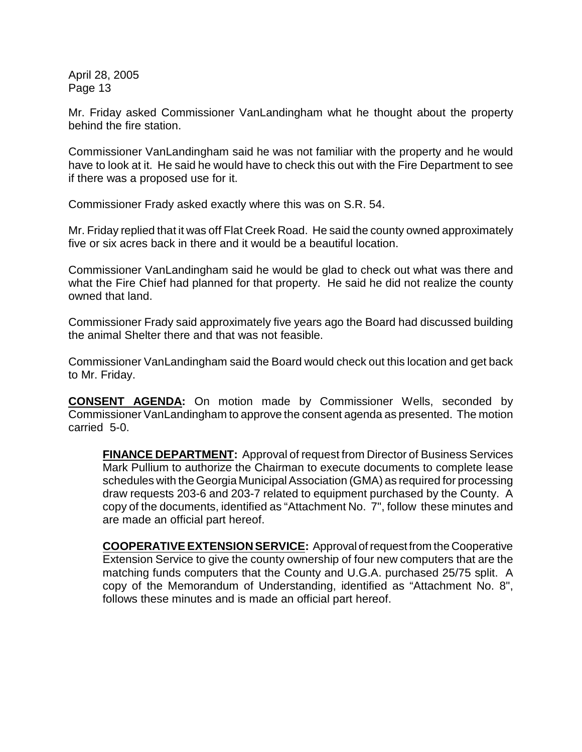Mr. Friday asked Commissioner VanLandingham what he thought about the property behind the fire station.

Commissioner VanLandingham said he was not familiar with the property and he would have to look at it. He said he would have to check this out with the Fire Department to see if there was a proposed use for it.

Commissioner Frady asked exactly where this was on S.R. 54.

Mr. Friday replied that it was off Flat Creek Road. He said the county owned approximately five or six acres back in there and it would be a beautiful location.

Commissioner VanLandingham said he would be glad to check out what was there and what the Fire Chief had planned for that property. He said he did not realize the county owned that land.

Commissioner Frady said approximately five years ago the Board had discussed building the animal Shelter there and that was not feasible.

Commissioner VanLandingham said the Board would check out this location and get back to Mr. Friday.

**CONSENT AGENDA:** On motion made by Commissioner Wells, seconded by Commissioner VanLandingham to approve the consent agenda as presented. The motion carried 5-0.

**FINANCE DEPARTMENT:** Approval of request from Director of Business Services Mark Pullium to authorize the Chairman to execute documents to complete lease schedules with the Georgia Municipal Association (GMA) as required for processing draw requests 203-6 and 203-7 related to equipment purchased by the County. A copy of the documents, identified as "Attachment No. 7", follow these minutes and are made an official part hereof.

**COOPERATIVE EXTENSION SERVICE:** Approval of request from the Cooperative Extension Service to give the county ownership of four new computers that are the matching funds computers that the County and U.G.A. purchased 25/75 split. A copy of the Memorandum of Understanding, identified as "Attachment No. 8", follows these minutes and is made an official part hereof.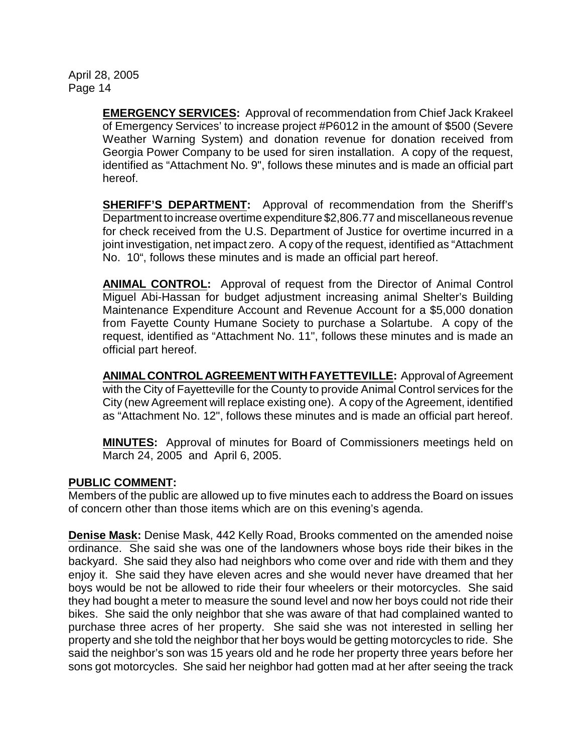> **EMERGENCY SERVICES:** Approval of recommendation from Chief Jack Krakeel of Emergency Services' to increase project #P6012 in the amount of \$500 (Severe Weather Warning System) and donation revenue for donation received from Georgia Power Company to be used for siren installation. A copy of the request, identified as "Attachment No. 9", follows these minutes and is made an official part hereof.

> **SHERIFF'S DEPARTMENT:** Approval of recommendation from the Sheriff's Department to increase overtime expenditure \$2,806.77 and miscellaneous revenue for check received from the U.S. Department of Justice for overtime incurred in a joint investigation, net impact zero. A copy of the request, identified as "Attachment No. 10", follows these minutes and is made an official part hereof.

> **ANIMAL CONTROL:** Approval of request from the Director of Animal Control Miguel Abi-Hassan for budget adjustment increasing animal Shelter's Building Maintenance Expenditure Account and Revenue Account for a \$5,000 donation from Fayette County Humane Society to purchase a Solartube. A copy of the request, identified as "Attachment No. 11", follows these minutes and is made an official part hereof.

> **ANIMAL CONTROL AGREEMENT WITH FAYETTEVILLE:** Approval of Agreement with the City of Fayetteville for the County to provide Animal Control services for the City (new Agreement will replace existing one).A copy of the Agreement, identified as "Attachment No. 12", follows these minutes and is made an official part hereof.

> **MINUTES:** Approval of minutes for Board of Commissioners meetings held on March 24, 2005 and April 6, 2005.

## **PUBLIC COMMENT:**

Members of the public are allowed up to five minutes each to address the Board on issues of concern other than those items which are on this evening's agenda.

**Denise Mask:** Denise Mask, 442 Kelly Road, Brooks commented on the amended noise ordinance. She said she was one of the landowners whose boys ride their bikes in the backyard. She said they also had neighbors who come over and ride with them and they enjoy it. She said they have eleven acres and she would never have dreamed that her boys would be not be allowed to ride their four wheelers or their motorcycles. She said they had bought a meter to measure the sound level and now her boys could not ride their bikes. She said the only neighbor that she was aware of that had complained wanted to purchase three acres of her property. She said she was not interested in selling her property and she told the neighbor that her boys would be getting motorcycles to ride. She said the neighbor's son was 15 years old and he rode her property three years before her sons got motorcycles. She said her neighbor had gotten mad at her after seeing the track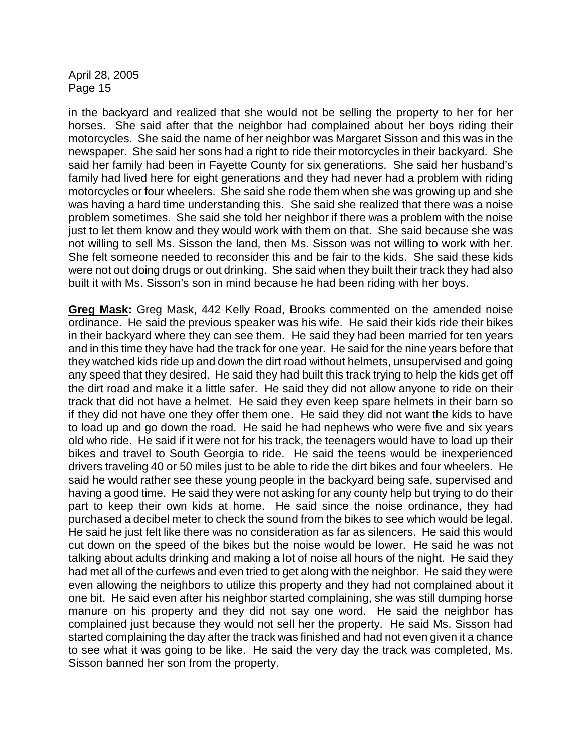in the backyard and realized that she would not be selling the property to her for her horses. She said after that the neighbor had complained about her boys riding their motorcycles. She said the name of her neighbor was Margaret Sisson and this was in the newspaper. She said her sons had a right to ride their motorcycles in their backyard. She said her family had been in Fayette County for six generations. She said her husband's family had lived here for eight generations and they had never had a problem with riding motorcycles or four wheelers. She said she rode them when she was growing up and she was having a hard time understanding this. She said she realized that there was a noise problem sometimes. She said she told her neighbor if there was a problem with the noise just to let them know and they would work with them on that. She said because she was not willing to sell Ms. Sisson the land, then Ms. Sisson was not willing to work with her. She felt someone needed to reconsider this and be fair to the kids. She said these kids were not out doing drugs or out drinking. She said when they built their track they had also built it with Ms. Sisson's son in mind because he had been riding with her boys.

**Greg Mask:** Greg Mask, 442 Kelly Road, Brooks commented on the amended noise ordinance. He said the previous speaker was his wife. He said their kids ride their bikes in their backyard where they can see them. He said they had been married for ten years and in this time they have had the track for one year. He said for the nine years before that they watched kids ride up and down the dirt road without helmets, unsupervised and going any speed that they desired. He said they had built this track trying to help the kids get off the dirt road and make it a little safer. He said they did not allow anyone to ride on their track that did not have a helmet. He said they even keep spare helmets in their barn so if they did not have one they offer them one. He said they did not want the kids to have to load up and go down the road. He said he had nephews who were five and six years old who ride. He said if it were not for his track, the teenagers would have to load up their bikes and travel to South Georgia to ride. He said the teens would be inexperienced drivers traveling 40 or 50 miles just to be able to ride the dirt bikes and four wheelers. He said he would rather see these young people in the backyard being safe, supervised and having a good time. He said they were not asking for any county help but trying to do their part to keep their own kids at home. He said since the noise ordinance, they had purchased a decibel meter to check the sound from the bikes to see which would be legal. He said he just felt like there was no consideration as far as silencers. He said this would cut down on the speed of the bikes but the noise would be lower. He said he was not talking about adults drinking and making a lot of noise all hours of the night. He said they had met all of the curfews and even tried to get along with the neighbor. He said they were even allowing the neighbors to utilize this property and they had not complained about it one bit. He said even after his neighbor started complaining, she was still dumping horse manure on his property and they did not say one word. He said the neighbor has complained just because they would not sell her the property. He said Ms. Sisson had started complaining the day after the track was finished and had not even given it a chance to see what it was going to be like. He said the very day the track was completed, Ms. Sisson banned her son from the property.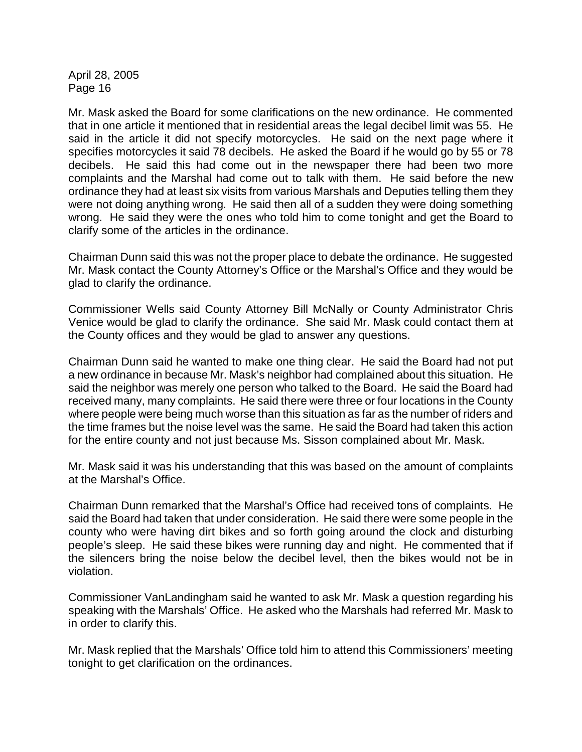Mr. Mask asked the Board for some clarifications on the new ordinance. He commented that in one article it mentioned that in residential areas the legal decibel limit was 55. He said in the article it did not specify motorcycles. He said on the next page where it specifies motorcycles it said 78 decibels. He asked the Board if he would go by 55 or 78 decibels. He said this had come out in the newspaper there had been two more complaints and the Marshal had come out to talk with them. He said before the new ordinance they had at least six visits from various Marshals and Deputies telling them they were not doing anything wrong. He said then all of a sudden they were doing something wrong. He said they were the ones who told him to come tonight and get the Board to clarify some of the articles in the ordinance.

Chairman Dunn said this was not the proper place to debate the ordinance. He suggested Mr. Mask contact the County Attorney's Office or the Marshal's Office and they would be glad to clarify the ordinance.

Commissioner Wells said County Attorney Bill McNally or County Administrator Chris Venice would be glad to clarify the ordinance. She said Mr. Mask could contact them at the County offices and they would be glad to answer any questions.

Chairman Dunn said he wanted to make one thing clear. He said the Board had not put a new ordinance in because Mr. Mask's neighbor had complained about this situation. He said the neighbor was merely one person who talked to the Board. He said the Board had received many, many complaints. He said there were three or four locations in the County where people were being much worse than this situation as far as the number of riders and the time frames but the noise level was the same. He said the Board had taken this action for the entire county and not just because Ms. Sisson complained about Mr. Mask.

Mr. Mask said it was his understanding that this was based on the amount of complaints at the Marshal's Office.

Chairman Dunn remarked that the Marshal's Office had received tons of complaints. He said the Board had taken that under consideration. He said there were some people in the county who were having dirt bikes and so forth going around the clock and disturbing people's sleep. He said these bikes were running day and night. He commented that if the silencers bring the noise below the decibel level, then the bikes would not be in violation.

Commissioner VanLandingham said he wanted to ask Mr. Mask a question regarding his speaking with the Marshals' Office. He asked who the Marshals had referred Mr. Mask to in order to clarify this.

Mr. Mask replied that the Marshals' Office told him to attend this Commissioners' meeting tonight to get clarification on the ordinances.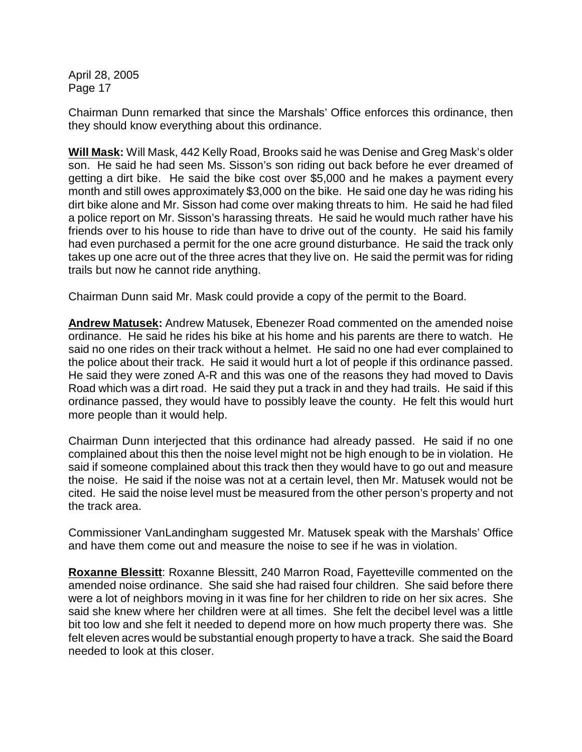Chairman Dunn remarked that since the Marshals' Office enforces this ordinance, then they should know everything about this ordinance.

**Will Mask:** Will Mask, 442 Kelly Road, Brooks said he was Denise and Greg Mask's older son. He said he had seen Ms. Sisson's son riding out back before he ever dreamed of getting a dirt bike. He said the bike cost over \$5,000 and he makes a payment every month and still owes approximately \$3,000 on the bike. He said one day he was riding his dirt bike alone and Mr. Sisson had come over making threats to him. He said he had filed a police report on Mr. Sisson's harassing threats. He said he would much rather have his friends over to his house to ride than have to drive out of the county. He said his family had even purchased a permit for the one acre ground disturbance. He said the track only takes up one acre out of the three acres that they live on. He said the permit was for riding trails but now he cannot ride anything.

Chairman Dunn said Mr. Mask could provide a copy of the permit to the Board.

**Andrew Matusek:** Andrew Matusek, Ebenezer Road commented on the amended noise ordinance. He said he rides his bike at his home and his parents are there to watch. He said no one rides on their track without a helmet. He said no one had ever complained to the police about their track. He said it would hurt a lot of people if this ordinance passed. He said they were zoned A-R and this was one of the reasons they had moved to Davis Road which was a dirt road. He said they put a track in and they had trails. He said if this ordinance passed, they would have to possibly leave the county. He felt this would hurt more people than it would help.

Chairman Dunn interjected that this ordinance had already passed. He said if no one complained about this then the noise level might not be high enough to be in violation. He said if someone complained about this track then they would have to go out and measure the noise. He said if the noise was not at a certain level, then Mr. Matusek would not be cited. He said the noise level must be measured from the other person's property and not the track area.

Commissioner VanLandingham suggested Mr. Matusek speak with the Marshals' Office and have them come out and measure the noise to see if he was in violation.

**Roxanne Blessitt**: Roxanne Blessitt, 240 Marron Road, Fayetteville commented on the amended noise ordinance. She said she had raised four children. She said before there were a lot of neighbors moving in it was fine for her children to ride on her six acres. She said she knew where her children were at all times. She felt the decibel level was a little bit too low and she felt it needed to depend more on how much property there was. She felt eleven acres would be substantial enough property to have a track. She said the Board needed to look at this closer.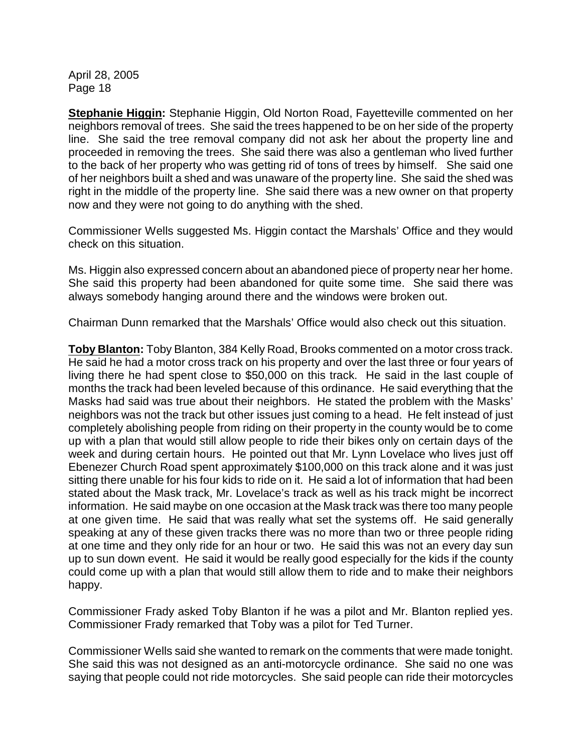**Stephanie Higgin:** Stephanie Higgin, Old Norton Road, Fayetteville commented on her neighbors removal of trees. She said the trees happened to be on her side of the property line. She said the tree removal company did not ask her about the property line and proceeded in removing the trees. She said there was also a gentleman who lived further to the back of her property who was getting rid of tons of trees by himself. She said one of her neighbors built a shed and was unaware of the property line. She said the shed was right in the middle of the property line. She said there was a new owner on that property now and they were not going to do anything with the shed.

Commissioner Wells suggested Ms. Higgin contact the Marshals' Office and they would check on this situation.

Ms. Higgin also expressed concern about an abandoned piece of property near her home. She said this property had been abandoned for quite some time. She said there was always somebody hanging around there and the windows were broken out.

Chairman Dunn remarked that the Marshals' Office would also check out this situation.

**Toby Blanton:** Toby Blanton, 384 Kelly Road, Brooks commented on a motor cross track. He said he had a motor cross track on his property and over the last three or four years of living there he had spent close to \$50,000 on this track. He said in the last couple of months the track had been leveled because of this ordinance. He said everything that the Masks had said was true about their neighbors. He stated the problem with the Masks' neighbors was not the track but other issues just coming to a head. He felt instead of just completely abolishing people from riding on their property in the county would be to come up with a plan that would still allow people to ride their bikes only on certain days of the week and during certain hours. He pointed out that Mr. Lynn Lovelace who lives just off Ebenezer Church Road spent approximately \$100,000 on this track alone and it was just sitting there unable for his four kids to ride on it. He said a lot of information that had been stated about the Mask track, Mr. Lovelace's track as well as his track might be incorrect information. He said maybe on one occasion at the Mask track was there too many people at one given time. He said that was really what set the systems off. He said generally speaking at any of these given tracks there was no more than two or three people riding at one time and they only ride for an hour or two. He said this was not an every day sun up to sun down event. He said it would be really good especially for the kids if the county could come up with a plan that would still allow them to ride and to make their neighbors happy.

Commissioner Frady asked Toby Blanton if he was a pilot and Mr. Blanton replied yes. Commissioner Frady remarked that Toby was a pilot for Ted Turner.

Commissioner Wells said she wanted to remark on the comments that were made tonight. She said this was not designed as an anti-motorcycle ordinance. She said no one was saying that people could not ride motorcycles. She said people can ride their motorcycles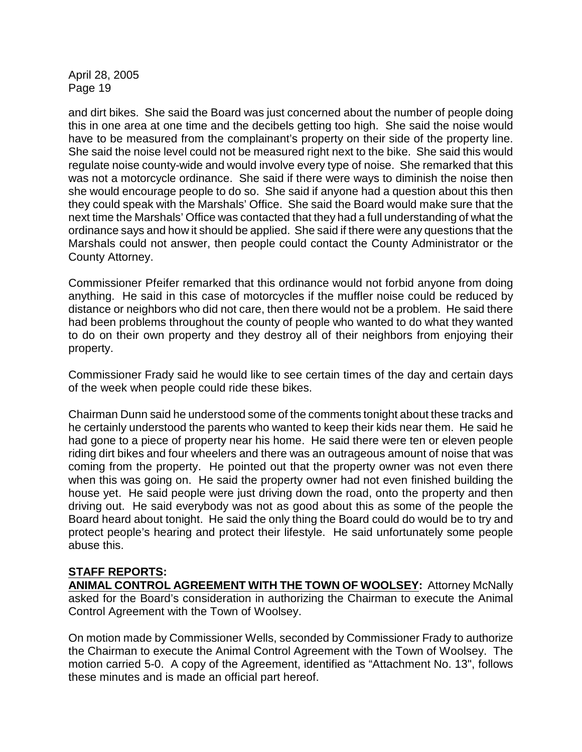and dirt bikes. She said the Board was just concerned about the number of people doing this in one area at one time and the decibels getting too high. She said the noise would have to be measured from the complainant's property on their side of the property line. She said the noise level could not be measured right next to the bike. She said this would regulate noise county-wide and would involve every type of noise. She remarked that this was not a motorcycle ordinance. She said if there were ways to diminish the noise then she would encourage people to do so. She said if anyone had a question about this then they could speak with the Marshals' Office. She said the Board would make sure that the next time the Marshals' Office was contacted that they had a full understanding of what the ordinance says and how it should be applied. She said if there were any questions that the Marshals could not answer, then people could contact the County Administrator or the County Attorney.

Commissioner Pfeifer remarked that this ordinance would not forbid anyone from doing anything. He said in this case of motorcycles if the muffler noise could be reduced by distance or neighbors who did not care, then there would not be a problem. He said there had been problems throughout the county of people who wanted to do what they wanted to do on their own property and they destroy all of their neighbors from enjoying their property.

Commissioner Frady said he would like to see certain times of the day and certain days of the week when people could ride these bikes.

Chairman Dunn said he understood some of the comments tonight about these tracks and he certainly understood the parents who wanted to keep their kids near them. He said he had gone to a piece of property near his home. He said there were ten or eleven people riding dirt bikes and four wheelers and there was an outrageous amount of noise that was coming from the property. He pointed out that the property owner was not even there when this was going on. He said the property owner had not even finished building the house yet. He said people were just driving down the road, onto the property and then driving out. He said everybody was not as good about this as some of the people the Board heard about tonight. He said the only thing the Board could do would be to try and protect people's hearing and protect their lifestyle. He said unfortunately some people abuse this.

## **STAFF REPORTS:**

**ANIMAL CONTROL AGREEMENT WITH THE TOWN OF WOOLSEY:** Attorney McNally asked for the Board's consideration in authorizing the Chairman to execute the Animal Control Agreement with the Town of Woolsey.

On motion made by Commissioner Wells, seconded by Commissioner Frady to authorize the Chairman to execute the Animal Control Agreement with the Town of Woolsey. The motion carried 5-0. A copy of the Agreement, identified as "Attachment No. 13", follows these minutes and is made an official part hereof.